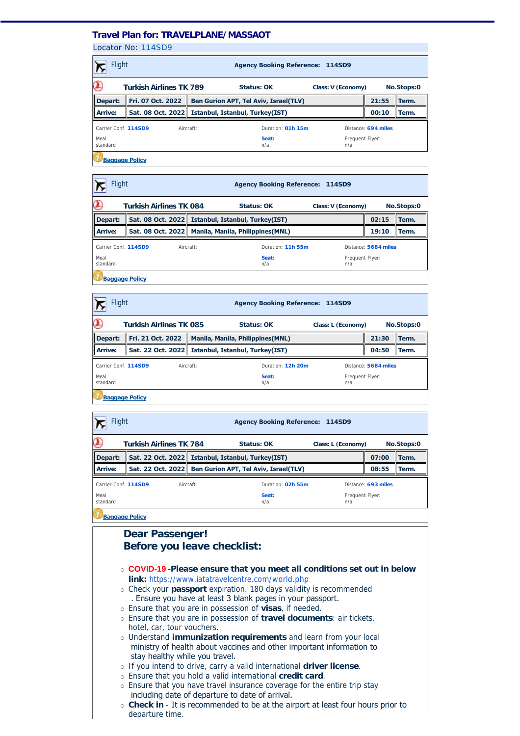## **Travel Plan for: TRAVELPLANE/MASSAOT**

Locator No: [114SD9](https://travel-management:44302/PassengersInPnr.aspx?pnr=114SD9&past=True&name=&office=&update=False&provider=AMSALEM&format=MjQgSG91cg==&brand=2&menu=False&fromversion=0&history=-1)

| Flight                |                                | <b>Agency Booking Reference: 114SD9</b>                  |                   |                        |                     |            |  |
|-----------------------|--------------------------------|----------------------------------------------------------|-------------------|------------------------|---------------------|------------|--|
|                       | <b>Turkish Airlines TK 789</b> | Status: OK                                               |                   | Class: V (Economy)     |                     | No.Stops:0 |  |
| Depart:               | Fri. 07 Oct. 2022              | Ben Gurion APT, Tel Aviv, Israel(TLV)                    |                   |                        | 21:55               | Term.      |  |
| Arrive:               |                                | Sat. 08 Oct. 2022 <b>Istanbul, Istanbul, Turkey(IST)</b> |                   |                        | 00:10               | Term.      |  |
| Carrier Conf. 114SD9  |                                | Aircraft:                                                | Duration: 01h 15m |                        | Distance: 694 miles |            |  |
| Meal<br>standard      |                                |                                                          | Seat:<br>n/a      | Frequent Flyer:<br>n/a |                     |            |  |
| <b>Baggage Policy</b> |                                |                                                          |                   |                        |                     |            |  |

| Flight                |                                                                    | <b>Agency Booking Reference: 114SD9</b> |           |                                                       |                        |                      |       |
|-----------------------|--------------------------------------------------------------------|-----------------------------------------|-----------|-------------------------------------------------------|------------------------|----------------------|-------|
| $\alpha$              | <b>Turkish Airlines TK 084</b><br>Status: OK<br>Class: V (Economy) |                                         |           |                                                       |                        | No.Stops:0           |       |
| Depart:               |                                                                    |                                         |           | Sat. 08 Oct. 2022 Istanbul, Istanbul, Turkey(IST)     |                        | 02:15                | Term. |
| Arrive:               |                                                                    |                                         |           | Sat. 08 Oct. 2022   Manila, Manila, Philippines (MNL) |                        | 19:10                | Term. |
| Carrier Conf. 114SD9  |                                                                    |                                         | Aircraft: | Duration: 11h 55m                                     |                        | Distance: 5684 miles |       |
| Meal<br>standard      |                                                                    |                                         |           | Seat:<br>n/a                                          | Frequent Flyer:<br>n/a |                      |       |
| <b>Baggage Policy</b> |                                                                    |                                         |           |                                                       |                        |                      |       |

| <b>Flight</b>                                          |                                                                    | <b>Agency Booking Reference: 114SD9</b>             |                                          |                        |                      |       |  |
|--------------------------------------------------------|--------------------------------------------------------------------|-----------------------------------------------------|------------------------------------------|------------------------|----------------------|-------|--|
| $\sigma$                                               | <b>Turkish Airlines TK 085</b><br>Status: OK<br>Class: L (Economy) |                                                     |                                          |                        | No.Stops:0           |       |  |
| Depart:                                                | Fri. 21 Oct. 2022                                                  |                                                     | <b>Manila, Manila, Philippines (MNL)</b> |                        |                      | Term. |  |
| Arrive:                                                |                                                                    | Sat. 22 Oct. 2022   Istanbul, Istanbul, Turkey(IST) |                                          |                        | 04:50                | Term. |  |
| Carrier Conf. 114SD9<br>Duration: 12h 20m<br>Aircraft: |                                                                    |                                                     |                                          |                        | Distance: 5684 miles |       |  |
| Meal<br>standard                                       |                                                                    |                                                     | Seat:<br>n/a                             | Frequent Flyer:<br>n/a |                      |       |  |
| <b>Baggage Policy</b>                                  |                                                                    |                                                     |                                          |                        |                      |       |  |

|                                                                    | Flight<br><b>Agency Booking Reference: 114SD9</b> |  |  |           |                                                          |                        |                     |       |
|--------------------------------------------------------------------|---------------------------------------------------|--|--|-----------|----------------------------------------------------------|------------------------|---------------------|-------|
| <b>Turkish Airlines TK 784</b><br>Status: OK<br>Class: L (Economy) |                                                   |  |  |           |                                                          | No.Stops:0             |                     |       |
| Depart:                                                            |                                                   |  |  |           | Sat. 22 Oct. 2022 <b>Istanbul, Istanbul, Turkey(IST)</b> |                        | 07:00               | Term. |
| Arrive:                                                            |                                                   |  |  |           | Sat. 22 Oct. 2022 Ben Gurion APT, Tel Aviv, Israel(TLV)  |                        | 08:55               | Term. |
| Carrier Conf. 114SD9                                               |                                                   |  |  | Aircraft: | Duration: 02h 55m                                        |                        | Distance: 693 miles |       |
| Meal<br>standard                                                   |                                                   |  |  |           | Seat:<br>n/a                                             | Frequent Flyer:<br>n/a |                     |       |
| <b>Baggage Policy</b>                                              |                                                   |  |  |           |                                                          |                        |                     |       |

 $\overline{\phantom{a}}$ 

| <b>Daggage Policy</b>                                                            |  |  |  |  |  |  |
|----------------------------------------------------------------------------------|--|--|--|--|--|--|
| <b>Dear Passenger!</b>                                                           |  |  |  |  |  |  |
| Before you leave checklist:                                                      |  |  |  |  |  |  |
|                                                                                  |  |  |  |  |  |  |
| ○ COVID-19 -Please ensure that you meet all conditions set out in below          |  |  |  |  |  |  |
| <b>link:</b> https://www.iatatravelcentre.com/world.php                          |  |  |  |  |  |  |
| o Check your passport expiration. 180 days validity is recommended               |  |  |  |  |  |  |
| . Ensure you have at least 3 blank pages in your passport.                       |  |  |  |  |  |  |
| o Ensure that you are in possession of visas, if needed.                         |  |  |  |  |  |  |
| o Ensure that you are in possession of travel documents: air tickets,            |  |  |  |  |  |  |
| hotel, car, tour vouchers.                                                       |  |  |  |  |  |  |
| o Understand <i>immunization requirements</i> and learn from your local          |  |  |  |  |  |  |
| ministry of health about vaccines and other important information to             |  |  |  |  |  |  |
| stay healthy while you travel.                                                   |  |  |  |  |  |  |
| o If you intend to drive, carry a valid international driver license.            |  |  |  |  |  |  |
| o Ensure that you hold a valid international credit card.                        |  |  |  |  |  |  |
| o Ensure that you have travel insurance coverage for the entire trip stay        |  |  |  |  |  |  |
| including date of departure to date of arrival.                                  |  |  |  |  |  |  |
| ○ Check in - It is recommended to be at the airport at least four hours prior to |  |  |  |  |  |  |
| departure time.                                                                  |  |  |  |  |  |  |